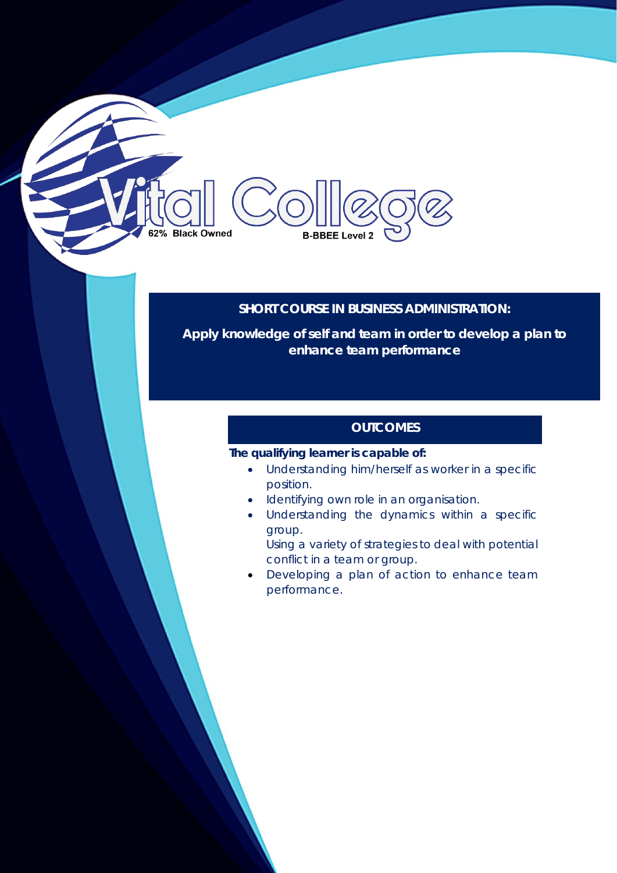# 62% Black Owned **B-BBEE Level 2**

### **SHORT COURSE IN BUSINESS ADMINISTRATION:**

**Apply knowledge of self and team in order to develop a plan to enhance team performance** 

### **OUTCOMES**

#### **The qualifying learner is capable of:**

- Understanding him/herself as worker in a specific position.
- Identifying own role in an organisation.
- Understanding the dynamics within a specific group.
	- Using a variety of strategies to deal with potential conflict in a team or group.
- Developing a plan of action to enhance team performance.